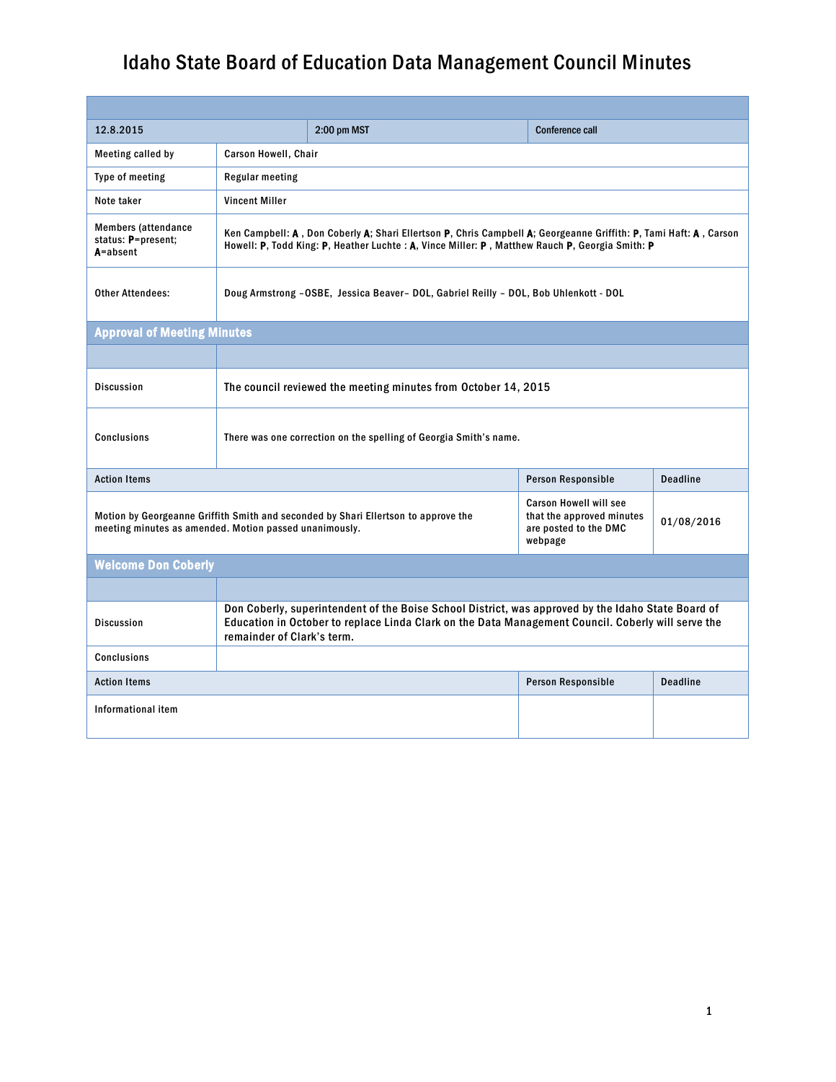| 12.8.2015                                                                                                                                    |                                                                                                                                                                                                                                        | 2:00 pm MST                                                                                    | <b>Conference call</b> |  |
|----------------------------------------------------------------------------------------------------------------------------------------------|----------------------------------------------------------------------------------------------------------------------------------------------------------------------------------------------------------------------------------------|------------------------------------------------------------------------------------------------|------------------------|--|
| Meeting called by                                                                                                                            | Carson Howell, Chair                                                                                                                                                                                                                   |                                                                                                |                        |  |
| Type of meeting                                                                                                                              | <b>Regular meeting</b>                                                                                                                                                                                                                 |                                                                                                |                        |  |
| Note taker                                                                                                                                   | <b>Vincent Miller</b>                                                                                                                                                                                                                  |                                                                                                |                        |  |
| <b>Members (attendance</b><br>status: P=present;<br>$A = absent$                                                                             | Ken Campbell: A, Don Coberly A; Shari Ellertson P, Chris Campbell A; Georgeanne Griffith: P, Tami Haft: A, Carson<br>Howell: P, Todd King: P, Heather Luchte : A, Vince Miller: P , Matthew Rauch P, Georgia Smith: P                  |                                                                                                |                        |  |
| <b>Other Attendees:</b>                                                                                                                      | Doug Armstrong -OSBE, Jessica Beaver- DOL, Gabriel Reilly - DOL, Bob Uhlenkott - DOL                                                                                                                                                   |                                                                                                |                        |  |
| <b>Approval of Meeting Minutes</b>                                                                                                           |                                                                                                                                                                                                                                        |                                                                                                |                        |  |
|                                                                                                                                              |                                                                                                                                                                                                                                        |                                                                                                |                        |  |
| <b>Discussion</b>                                                                                                                            | The council reviewed the meeting minutes from October 14, 2015                                                                                                                                                                         |                                                                                                |                        |  |
| <b>Conclusions</b>                                                                                                                           | There was one correction on the spelling of Georgia Smith's name.                                                                                                                                                                      |                                                                                                |                        |  |
| <b>Action Items</b><br>Person Responsible<br><b>Deadline</b>                                                                                 |                                                                                                                                                                                                                                        |                                                                                                |                        |  |
| Motion by Georgeanne Griffith Smith and seconded by Shari Ellertson to approve the<br>meeting minutes as amended. Motion passed unanimously. |                                                                                                                                                                                                                                        | <b>Carson Howell will see</b><br>that the approved minutes<br>are posted to the DMC<br>webpage | 01/08/2016             |  |
| <b>Welcome Don Coberly</b>                                                                                                                   |                                                                                                                                                                                                                                        |                                                                                                |                        |  |
|                                                                                                                                              |                                                                                                                                                                                                                                        |                                                                                                |                        |  |
| <b>Discussion</b>                                                                                                                            | Don Coberly, superintendent of the Boise School District, was approved by the Idaho State Board of<br>Education in October to replace Linda Clark on the Data Management Council. Coberly will serve the<br>remainder of Clark's term. |                                                                                                |                        |  |
| <b>Conclusions</b>                                                                                                                           |                                                                                                                                                                                                                                        |                                                                                                |                        |  |
| Person Responsible<br><b>Action Items</b>                                                                                                    |                                                                                                                                                                                                                                        | <b>Deadline</b>                                                                                |                        |  |
| Informational item                                                                                                                           |                                                                                                                                                                                                                                        |                                                                                                |                        |  |
|                                                                                                                                              |                                                                                                                                                                                                                                        |                                                                                                |                        |  |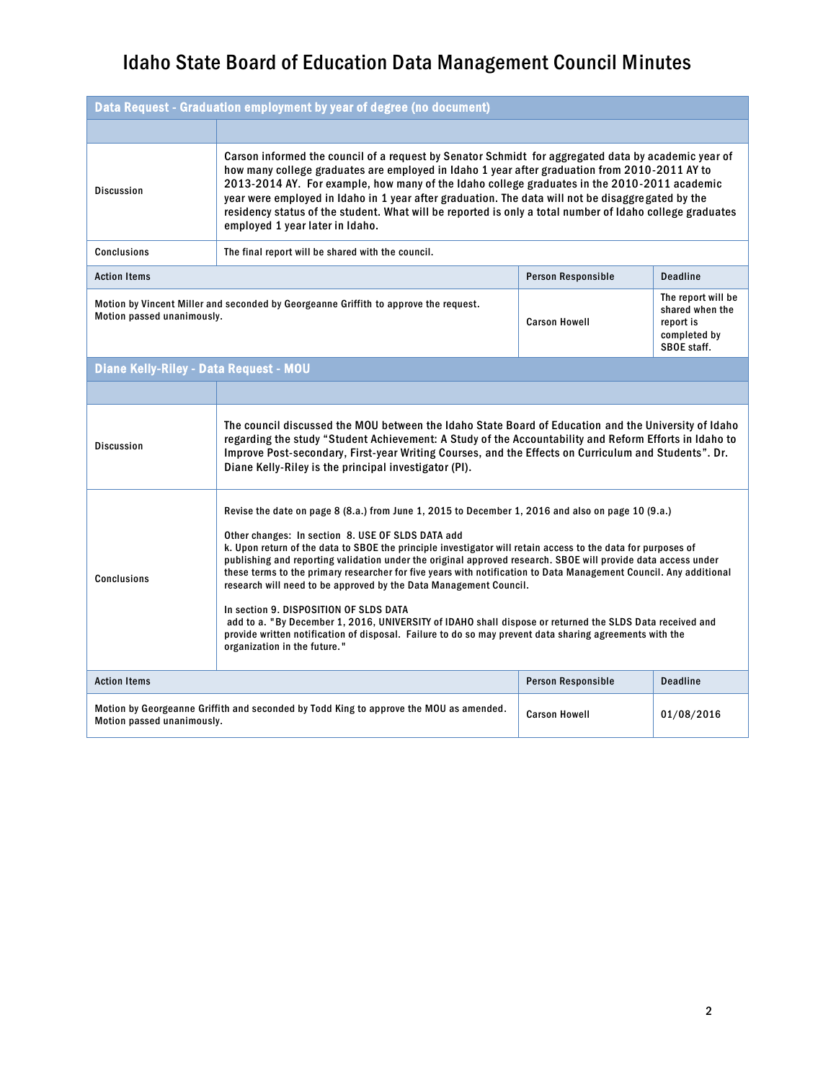| Data Request - Graduation employment by year of degree (no document)                                                                                       |                                                                                                                                                                                                                                                                                                                                                                                                                                                                                                                                                                                                                                                                                                                                                                                                                                                                                    |                      |                                                                                   |
|------------------------------------------------------------------------------------------------------------------------------------------------------------|------------------------------------------------------------------------------------------------------------------------------------------------------------------------------------------------------------------------------------------------------------------------------------------------------------------------------------------------------------------------------------------------------------------------------------------------------------------------------------------------------------------------------------------------------------------------------------------------------------------------------------------------------------------------------------------------------------------------------------------------------------------------------------------------------------------------------------------------------------------------------------|----------------------|-----------------------------------------------------------------------------------|
|                                                                                                                                                            |                                                                                                                                                                                                                                                                                                                                                                                                                                                                                                                                                                                                                                                                                                                                                                                                                                                                                    |                      |                                                                                   |
| <b>Discussion</b>                                                                                                                                          | Carson informed the council of a request by Senator Schmidt for aggregated data by academic year of<br>how many college graduates are employed in Idaho 1 year after graduation from 2010-2011 AY to<br>2013-2014 AY. For example, how many of the Idaho college graduates in the 2010-2011 academic<br>year were employed in Idaho in 1 year after graduation. The data will not be disaggregated by the<br>residency status of the student. What will be reported is only a total number of Idaho college graduates<br>employed 1 year later in Idaho.                                                                                                                                                                                                                                                                                                                           |                      |                                                                                   |
| <b>Conclusions</b>                                                                                                                                         | The final report will be shared with the council.                                                                                                                                                                                                                                                                                                                                                                                                                                                                                                                                                                                                                                                                                                                                                                                                                                  |                      |                                                                                   |
| <b>Action Items</b>                                                                                                                                        | Person Responsible<br><b>Deadline</b>                                                                                                                                                                                                                                                                                                                                                                                                                                                                                                                                                                                                                                                                                                                                                                                                                                              |                      |                                                                                   |
| Motion by Vincent Miller and seconded by Georgeanne Griffith to approve the request.<br>Motion passed unanimously.                                         |                                                                                                                                                                                                                                                                                                                                                                                                                                                                                                                                                                                                                                                                                                                                                                                                                                                                                    | <b>Carson Howell</b> | The report will be<br>shared when the<br>report is<br>completed by<br>SBOE staff. |
| <b>Diane Kelly-Riley - Data Request - MOU</b>                                                                                                              |                                                                                                                                                                                                                                                                                                                                                                                                                                                                                                                                                                                                                                                                                                                                                                                                                                                                                    |                      |                                                                                   |
|                                                                                                                                                            |                                                                                                                                                                                                                                                                                                                                                                                                                                                                                                                                                                                                                                                                                                                                                                                                                                                                                    |                      |                                                                                   |
| <b>Discussion</b>                                                                                                                                          | The council discussed the MOU between the Idaho State Board of Education and the University of Idaho<br>regarding the study "Student Achievement: A Study of the Accountability and Reform Efforts in Idaho to<br>Improve Post-secondary, First-year Writing Courses, and the Effects on Curriculum and Students". Dr.<br>Diane Kelly-Riley is the principal investigator (PI).                                                                                                                                                                                                                                                                                                                                                                                                                                                                                                    |                      |                                                                                   |
| <b>Conclusions</b>                                                                                                                                         | Revise the date on page 8 (8.a.) from June 1, 2015 to December 1, 2016 and also on page 10 (9.a.)<br>Other changes: In section 8. USE OF SLDS DATA add<br>k. Upon return of the data to SBOE the principle investigator will retain access to the data for purposes of<br>publishing and reporting validation under the original approved research. SBOE will provide data access under<br>these terms to the primary researcher for five years with notification to Data Management Council. Any additional<br>research will need to be approved by the Data Management Council.<br>In section 9. DISPOSITION OF SLDS DATA<br>add to a. "By December 1, 2016, UNIVERSITY of IDAHO shall dispose or returned the SLDS Data received and<br>provide written notification of disposal. Failure to do so may prevent data sharing agreements with the<br>organization in the future." |                      |                                                                                   |
| <b>Action Items</b><br><b>Person Responsible</b>                                                                                                           |                                                                                                                                                                                                                                                                                                                                                                                                                                                                                                                                                                                                                                                                                                                                                                                                                                                                                    | <b>Deadline</b>      |                                                                                   |
| Motion by Georgeanne Griffith and seconded by Todd King to approve the MOU as amended.<br><b>Carson Howell</b><br>01/08/2016<br>Motion passed unanimously. |                                                                                                                                                                                                                                                                                                                                                                                                                                                                                                                                                                                                                                                                                                                                                                                                                                                                                    |                      |                                                                                   |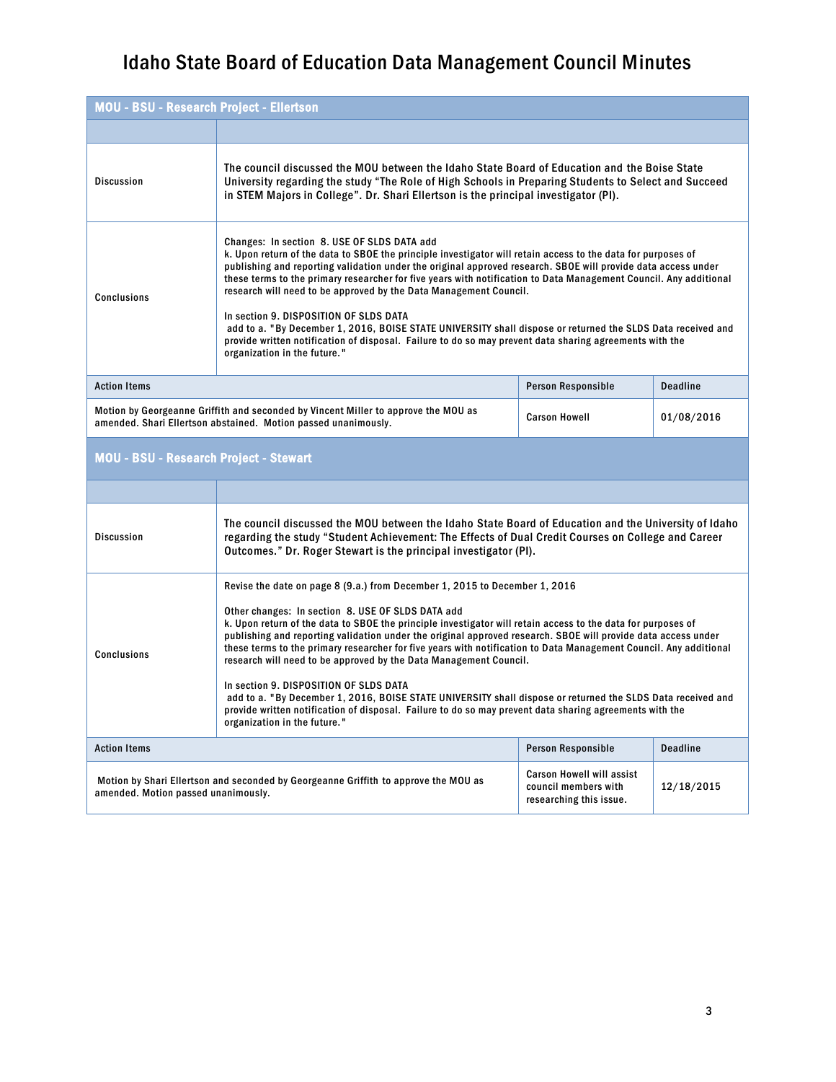| <b>MOU - BSU - Research Project - Ellertson</b>                                                                                                                              |                                                                                                                                                                                                                                                                                                                                                                                                                                                                                                                                                                                                                                                                                                                                                                            |                    |                 |
|------------------------------------------------------------------------------------------------------------------------------------------------------------------------------|----------------------------------------------------------------------------------------------------------------------------------------------------------------------------------------------------------------------------------------------------------------------------------------------------------------------------------------------------------------------------------------------------------------------------------------------------------------------------------------------------------------------------------------------------------------------------------------------------------------------------------------------------------------------------------------------------------------------------------------------------------------------------|--------------------|-----------------|
|                                                                                                                                                                              |                                                                                                                                                                                                                                                                                                                                                                                                                                                                                                                                                                                                                                                                                                                                                                            |                    |                 |
| <b>Discussion</b>                                                                                                                                                            | The council discussed the MOU between the Idaho State Board of Education and the Boise State<br>University regarding the study "The Role of High Schools in Preparing Students to Select and Succeed<br>in STEM Majors in College". Dr. Shari Ellertson is the principal investigator (PI).                                                                                                                                                                                                                                                                                                                                                                                                                                                                                |                    |                 |
| <b>Conclusions</b>                                                                                                                                                           | Changes: In section 8. USE OF SLDS DATA add<br>k. Upon return of the data to SBOE the principle investigator will retain access to the data for purposes of<br>publishing and reporting validation under the original approved research. SBOE will provide data access under<br>these terms to the primary researcher for five years with notification to Data Management Council. Any additional<br>research will need to be approved by the Data Management Council.<br>In section 9. DISPOSITION OF SLDS DATA<br>add to a. "By December 1, 2016, BOISE STATE UNIVERSITY shall dispose or returned the SLDS Data received and<br>provide written notification of disposal. Failure to do so may prevent data sharing agreements with the<br>organization in the future." |                    |                 |
| <b>Action Items</b>                                                                                                                                                          |                                                                                                                                                                                                                                                                                                                                                                                                                                                                                                                                                                                                                                                                                                                                                                            | Person Responsible | <b>Deadline</b> |
| Motion by Georgeanne Griffith and seconded by Vincent Miller to approve the MOU as<br><b>Carson Howell</b><br>amended. Shari Ellertson abstained. Motion passed unanimously. |                                                                                                                                                                                                                                                                                                                                                                                                                                                                                                                                                                                                                                                                                                                                                                            |                    | 01/08/2016      |

#### MOU - BSU - Research Project - Stewart

| <b>Discussion</b>                                                                                                          | The council discussed the MOU between the Idaho State Board of Education and the University of Idaho<br>regarding the study "Student Achievement: The Effects of Dual Credit Courses on College and Career<br>Outcomes." Dr. Roger Stewart is the principal investigator (PI).                                                                                                                                                                                                                                                                                                                                                                                                                                                                                                                                                                                 |                                                                                     |            |
|----------------------------------------------------------------------------------------------------------------------------|----------------------------------------------------------------------------------------------------------------------------------------------------------------------------------------------------------------------------------------------------------------------------------------------------------------------------------------------------------------------------------------------------------------------------------------------------------------------------------------------------------------------------------------------------------------------------------------------------------------------------------------------------------------------------------------------------------------------------------------------------------------------------------------------------------------------------------------------------------------|-------------------------------------------------------------------------------------|------------|
| Conclusions                                                                                                                | Revise the date on page 8 (9.a.) from December 1, 2015 to December 1, 2016<br>Other changes: In section 8. USE OF SLDS DATA add<br>k. Upon return of the data to SBOE the principle investigator will retain access to the data for purposes of<br>publishing and reporting validation under the original approved research. SBOE will provide data access under<br>these terms to the primary researcher for five years with notification to Data Management Council. Any additional<br>research will need to be approved by the Data Management Council.<br>In section 9. DISPOSITION OF SLDS DATA<br>add to a. "By December 1, 2016, BOISE STATE UNIVERSITY shall dispose or returned the SLDS Data received and<br>provide written notification of disposal. Failure to do so may prevent data sharing agreements with the<br>organization in the future." |                                                                                     |            |
| <b>Action Items</b><br>Person Responsible                                                                                  |                                                                                                                                                                                                                                                                                                                                                                                                                                                                                                                                                                                                                                                                                                                                                                                                                                                                | <b>Deadline</b>                                                                     |            |
| Motion by Shari Ellertson and seconded by Georgeanne Griffith to approve the MOU as<br>amended. Motion passed unanimously. |                                                                                                                                                                                                                                                                                                                                                                                                                                                                                                                                                                                                                                                                                                                                                                                                                                                                | <b>Carson Howell will assist</b><br>council members with<br>researching this issue. | 12/18/2015 |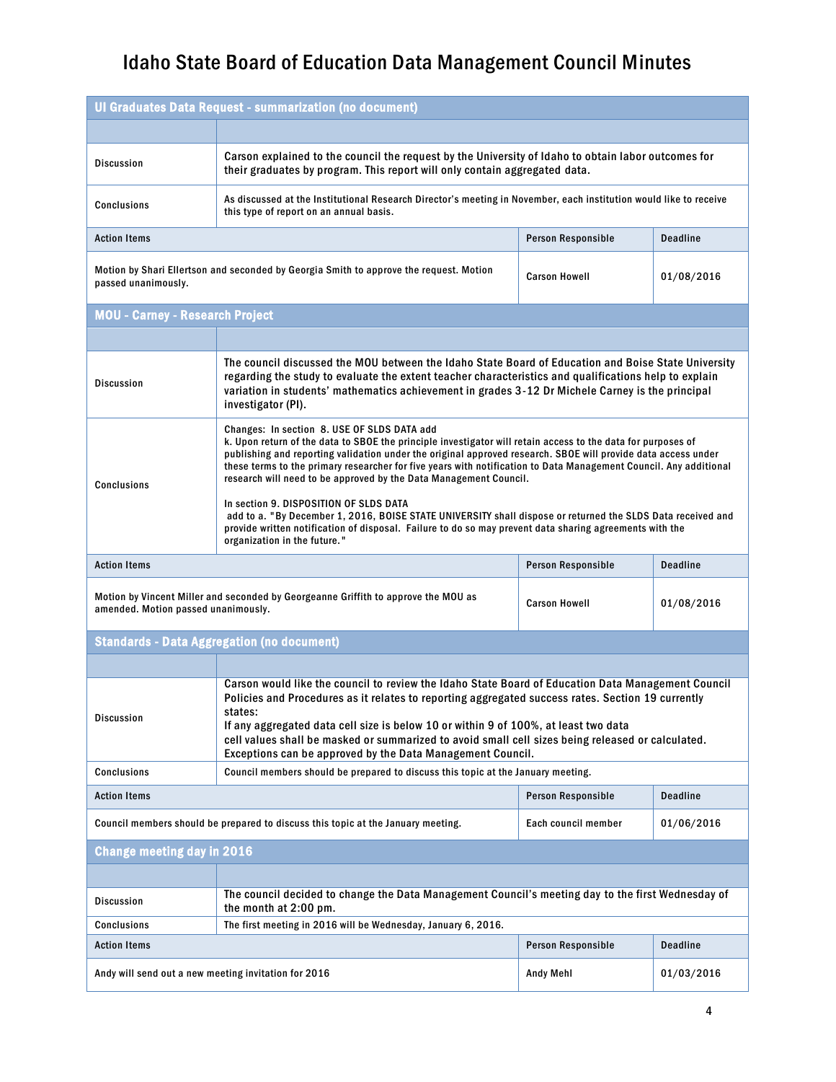| Ul Graduates Data Request - summarization (no document)                                                                                           |                                                                                                                                                                                                                                                                                                                                                                                                                                                                                                                                                                                                                                 |                     |                 |  |
|---------------------------------------------------------------------------------------------------------------------------------------------------|---------------------------------------------------------------------------------------------------------------------------------------------------------------------------------------------------------------------------------------------------------------------------------------------------------------------------------------------------------------------------------------------------------------------------------------------------------------------------------------------------------------------------------------------------------------------------------------------------------------------------------|---------------------|-----------------|--|
|                                                                                                                                                   |                                                                                                                                                                                                                                                                                                                                                                                                                                                                                                                                                                                                                                 |                     |                 |  |
| <b>Discussion</b>                                                                                                                                 | Carson explained to the council the request by the University of Idaho to obtain labor outcomes for<br>their graduates by program. This report will only contain aggregated data.                                                                                                                                                                                                                                                                                                                                                                                                                                               |                     |                 |  |
| <b>Conclusions</b>                                                                                                                                | As discussed at the Institutional Research Director's meeting in November, each institution would like to receive<br>this type of report on an annual basis.                                                                                                                                                                                                                                                                                                                                                                                                                                                                    |                     |                 |  |
| <b>Action Items</b>                                                                                                                               | <b>Deadline</b><br>Person Responsible                                                                                                                                                                                                                                                                                                                                                                                                                                                                                                                                                                                           |                     |                 |  |
| Motion by Shari Ellertson and seconded by Georgia Smith to approve the request. Motion<br><b>Carson Howell</b><br>passed unanimously.             |                                                                                                                                                                                                                                                                                                                                                                                                                                                                                                                                                                                                                                 | 01/08/2016          |                 |  |
| <b>MOU - Carney - Research Project</b>                                                                                                            |                                                                                                                                                                                                                                                                                                                                                                                                                                                                                                                                                                                                                                 |                     |                 |  |
|                                                                                                                                                   |                                                                                                                                                                                                                                                                                                                                                                                                                                                                                                                                                                                                                                 |                     |                 |  |
| <b>Discussion</b>                                                                                                                                 | The council discussed the MOU between the Idaho State Board of Education and Boise State University<br>regarding the study to evaluate the extent teacher characteristics and qualifications help to explain<br>variation in students' mathematics achievement in grades 3-12 Dr Michele Carney is the principal<br>investigator (PI).                                                                                                                                                                                                                                                                                          |                     |                 |  |
| <b>Conclusions</b>                                                                                                                                | Changes: In section 8. USE OF SLDS DATA add<br>k. Upon return of the data to SBOE the principle investigator will retain access to the data for purposes of<br>publishing and reporting validation under the original approved research. SBOE will provide data access under<br>these terms to the primary researcher for five years with notification to Data Management Council. Any additional<br>research will need to be approved by the Data Management Council.<br>In section 9. DISPOSITION OF SLDS DATA<br>add to a. "By December 1, 2016, BOISE STATE UNIVERSITY shall dispose or returned the SLDS Data received and |                     |                 |  |
|                                                                                                                                                   | provide written notification of disposal. Failure to do so may prevent data sharing agreements with the<br>organization in the future."                                                                                                                                                                                                                                                                                                                                                                                                                                                                                         |                     |                 |  |
| <b>Action Items</b>                                                                                                                               | <b>Deadline</b><br>Person Responsible                                                                                                                                                                                                                                                                                                                                                                                                                                                                                                                                                                                           |                     |                 |  |
| Motion by Vincent Miller and seconded by Georgeanne Griffith to approve the MOU as<br><b>Carson Howell</b><br>amended. Motion passed unanimously. |                                                                                                                                                                                                                                                                                                                                                                                                                                                                                                                                                                                                                                 |                     | 01/08/2016      |  |
|                                                                                                                                                   | <b>Standards - Data Aggregation (no document)</b>                                                                                                                                                                                                                                                                                                                                                                                                                                                                                                                                                                               |                     |                 |  |
|                                                                                                                                                   |                                                                                                                                                                                                                                                                                                                                                                                                                                                                                                                                                                                                                                 |                     |                 |  |
| <b>Discussion</b>                                                                                                                                 | Carson would like the council to review the Idaho State Board of Education Data Management Council<br>Policies and Procedures as it relates to reporting aggregated success rates. Section 19 currently<br>states:<br>If any aggregated data cell size is below 10 or within 9 of 100%, at least two data<br>cell values shall be masked or summarized to avoid small cell sizes being released or calculated.                                                                                                                                                                                                                  |                     |                 |  |
| <b>Conclusions</b>                                                                                                                                | Exceptions can be approved by the Data Management Council.<br>Council members should be prepared to discuss this topic at the January meeting.                                                                                                                                                                                                                                                                                                                                                                                                                                                                                  |                     |                 |  |
| <b>Action Items</b>                                                                                                                               |                                                                                                                                                                                                                                                                                                                                                                                                                                                                                                                                                                                                                                 | Person Responsible  | <b>Deadline</b> |  |
| Council members should be prepared to discuss this topic at the January meeting.                                                                  |                                                                                                                                                                                                                                                                                                                                                                                                                                                                                                                                                                                                                                 | Each council member | 01/06/2016      |  |
| <b>Change meeting day in 2016</b>                                                                                                                 |                                                                                                                                                                                                                                                                                                                                                                                                                                                                                                                                                                                                                                 |                     |                 |  |
|                                                                                                                                                   |                                                                                                                                                                                                                                                                                                                                                                                                                                                                                                                                                                                                                                 |                     |                 |  |
| <b>Discussion</b>                                                                                                                                 | The council decided to change the Data Management Council's meeting day to the first Wednesday of<br>the month at 2:00 pm.                                                                                                                                                                                                                                                                                                                                                                                                                                                                                                      |                     |                 |  |
| The first meeting in 2016 will be Wednesday, January 6, 2016.<br><b>Conclusions</b>                                                               |                                                                                                                                                                                                                                                                                                                                                                                                                                                                                                                                                                                                                                 |                     |                 |  |
| Person Responsible<br><b>Deadline</b><br><b>Action Items</b>                                                                                      |                                                                                                                                                                                                                                                                                                                                                                                                                                                                                                                                                                                                                                 |                     |                 |  |
| Andy will send out a new meeting invitation for 2016<br><b>Andy Mehl</b><br>01/03/2016                                                            |                                                                                                                                                                                                                                                                                                                                                                                                                                                                                                                                                                                                                                 |                     |                 |  |